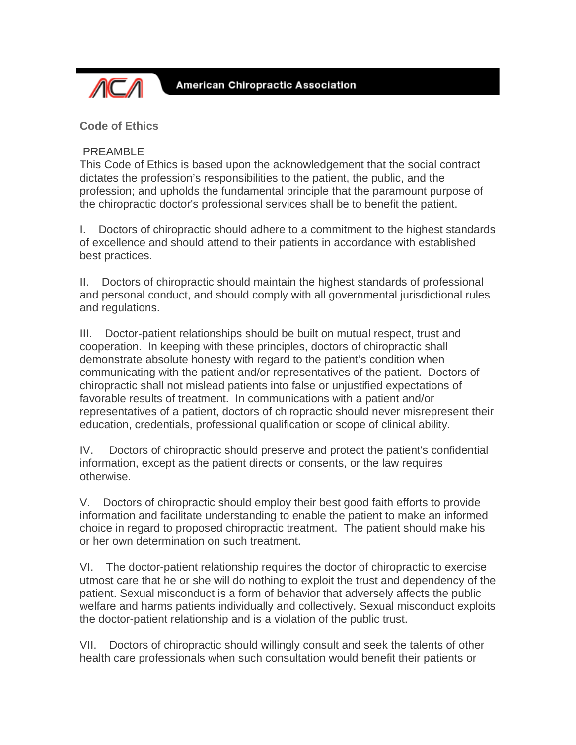

**Code of Ethics**

## PREAMBLE

This Code of Ethics is based upon the acknowledgement that the social contract dictates the profession's responsibilities to the patient, the public, and the profession; and upholds the fundamental principle that the paramount purpose of the chiropractic doctor's professional services shall be to benefit the patient.

I. Doctors of chiropractic should adhere to a commitment to the highest standards of excellence and should attend to their patients in accordance with established best practices.

II. Doctors of chiropractic should maintain the highest standards of professional and personal conduct, and should comply with all governmental jurisdictional rules and regulations.

III. Doctor-patient relationships should be built on mutual respect, trust and cooperation. In keeping with these principles, doctors of chiropractic shall demonstrate absolute honesty with regard to the patient's condition when communicating with the patient and/or representatives of the patient. Doctors of chiropractic shall not mislead patients into false or unjustified expectations of favorable results of treatment. In communications with a patient and/or representatives of a patient, doctors of chiropractic should never misrepresent their education, credentials, professional qualification or scope of clinical ability.

IV. Doctors of chiropractic should preserve and protect the patient's confidential information, except as the patient directs or consents, or the law requires otherwise.

V. Doctors of chiropractic should employ their best good faith efforts to provide information and facilitate understanding to enable the patient to make an informed choice in regard to proposed chiropractic treatment. The patient should make his or her own determination on such treatment.

VI. The doctor-patient relationship requires the doctor of chiropractic to exercise utmost care that he or she will do nothing to exploit the trust and dependency of the patient. Sexual misconduct is a form of behavior that adversely affects the public welfare and harms patients individually and collectively. Sexual misconduct exploits the doctor-patient relationship and is a violation of the public trust.

VII. Doctors of chiropractic should willingly consult and seek the talents of other health care professionals when such consultation would benefit their patients or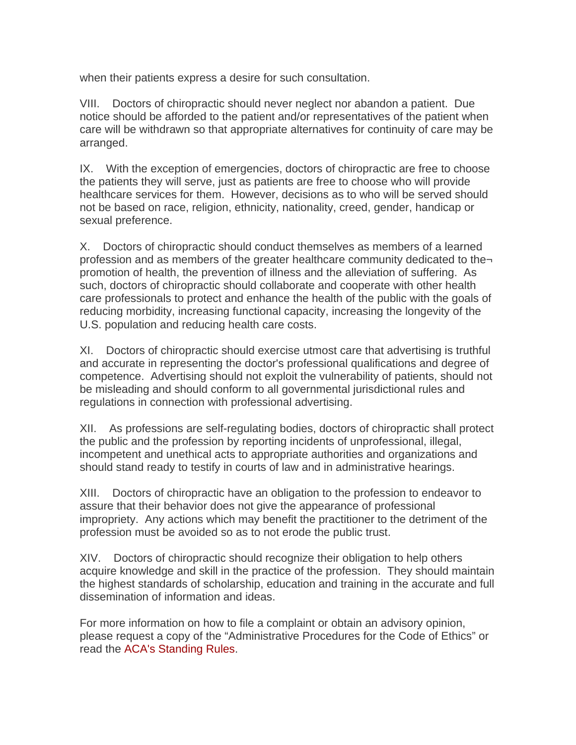when their patients express a desire for such consultation.

VIII. Doctors of chiropractic should never neglect nor abandon a patient. Due notice should be afforded to the patient and/or representatives of the patient when care will be withdrawn so that appropriate alternatives for continuity of care may be arranged.

IX. With the exception of emergencies, doctors of chiropractic are free to choose the patients they will serve, just as patients are free to choose who will provide healthcare services for them. However, decisions as to who will be served should not be based on race, religion, ethnicity, nationality, creed, gender, handicap or sexual preference.

X. Doctors of chiropractic should conduct themselves as members of a learned profession and as members of the greater healthcare community dedicated to the promotion of health, the prevention of illness and the alleviation of suffering. As such, doctors of chiropractic should collaborate and cooperate with other health care professionals to protect and enhance the health of the public with the goals of reducing morbidity, increasing functional capacity, increasing the longevity of the U.S. population and reducing health care costs.

XI. Doctors of chiropractic should exercise utmost care that advertising is truthful and accurate in representing the doctor's professional qualifications and degree of competence. Advertising should not exploit the vulnerability of patients, should not be misleading and should conform to all governmental jurisdictional rules and regulations in connection with professional advertising.

XII. As professions are self-regulating bodies, doctors of chiropractic shall protect the public and the profession by reporting incidents of unprofessional, illegal, incompetent and unethical acts to appropriate authorities and organizations and should stand ready to testify in courts of law and in administrative hearings.

XIII. Doctors of chiropractic have an obligation to the profession to endeavor to assure that their behavior does not give the appearance of professional impropriety. Any actions which may benefit the practitioner to the detriment of the profession must be avoided so as to not erode the public trust.

XIV. Doctors of chiropractic should recognize their obligation to help others acquire knowledge and skill in the practice of the profession. They should maintain the highest standards of scholarship, education and training in the accurate and full dissemination of information and ideas.

For more information on how to file a complaint or obtain an advisory opinion, please request a copy of the "Administrative Procedures for the Code of Ethics" or read the ACA's Standing Rules.